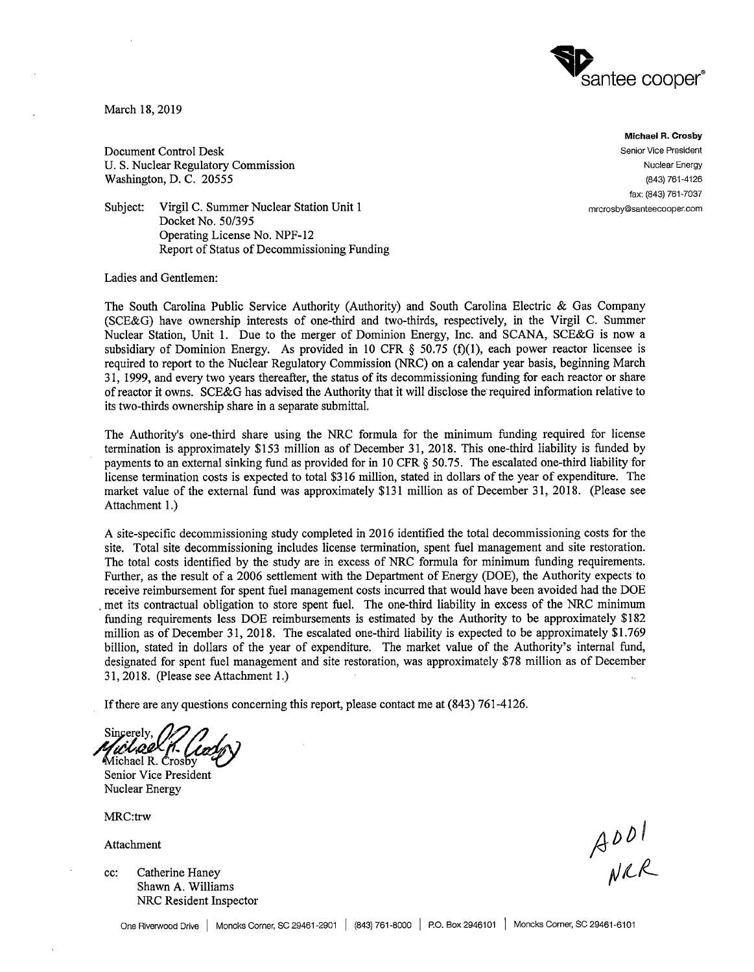

March 18, 2019

Document Control Desk U. S. Nuclear Regulatory Commission Washington, D. C. 20555

**Michael R. Crosby**  Senior Vice President Nuclear Energy (843) 761-4126 fax: (843) 761-7037 mrcrosby@santeecooper.com

Subject: Virgil C. Summer Nuclear Station Unit 1 Docket No. 50/395 Operating License No. NPF-12 Report of Status of Decommissioning Funding

Ladies and Gentlemen:

The South Carolina Public Service Authority (Authority) and South Carolina Electric & Gas Company (SCE&G) have ownership interests of one-third and two-thirds, respectively, in the Virgil C. Summer Nuclear Station, Unit 1. Due to the merger of Dominion Energy, Inc. and SCANA, SCE&G is now a subsidiary of Dominion Energy. As provided in 10 CFR  $\S$  50.75 (f)(1), each power reactor licensee is required to report to the Nuclear Regulatory Commission (NRC) on a calendar year basis, beginning March 31, 1999, and every two years thereafter, the status of its decommissioning funding for each reactor or share of reactor it owns. SCE&G has advised the Authority that it will disclose the· required information relative to its two-thirds ownership share in a separate submittal.

The Authority's one-third share using the NRC formula for the minimum funding required for license termination is approximately \$153 million as of December 31, 2018. This one-third liability is funded by payments to an external sinking fund as provided for in 10 CFR § 50.75. The escalated one-third liability for license termination costs is expected to total \$316 million, stated in dollars of the year of expenditure. The market value of the external fund was approximately \$131 million as of December 31, 2018. (Please see Attachment 1.)

A site-specific decommissioning study completed in 2016 identified the total decommissioning costs for the site. Total site decommissioning includes license termination, spent fuel management and site restoration. The total costs identified by the study are in excess of NRC formula for minimum funding requirements. Further, as the result of a 2006 settlement with the Department of Energy (DOE), the Authority expects to receive reimbursement for spent fuel management costs incurred that would have been avoided had the DOE . met its contractual obligation to store spent fuel. The one-third liability in excess of the NRC minimum funding requirements less DOE reimbursements is estimated by the Authority to be approximately \$182 million as of December 31, 2018. The escalated one-third liability is expected to be approximately \$1.769 billion, stated in dollars of the year of expenditure. The market value of the Authority's internal fund, designated for spent fuel management and site restoration, was approximately \$78 million as of December 31, 2018. (Please see Attachment 1.)

If there are any questions concerning this report, please contact me at (843) 761-4126.

Sincerely,<br>*Mirl.o.o.* Michael R. Crosb

Senior Vice President Nuclear Energy

MRC:trw

Attachment

cc: Catherine Haney Shawn A. Williams NRC Resident Inspector

 $A$ <sup>DDI</sup>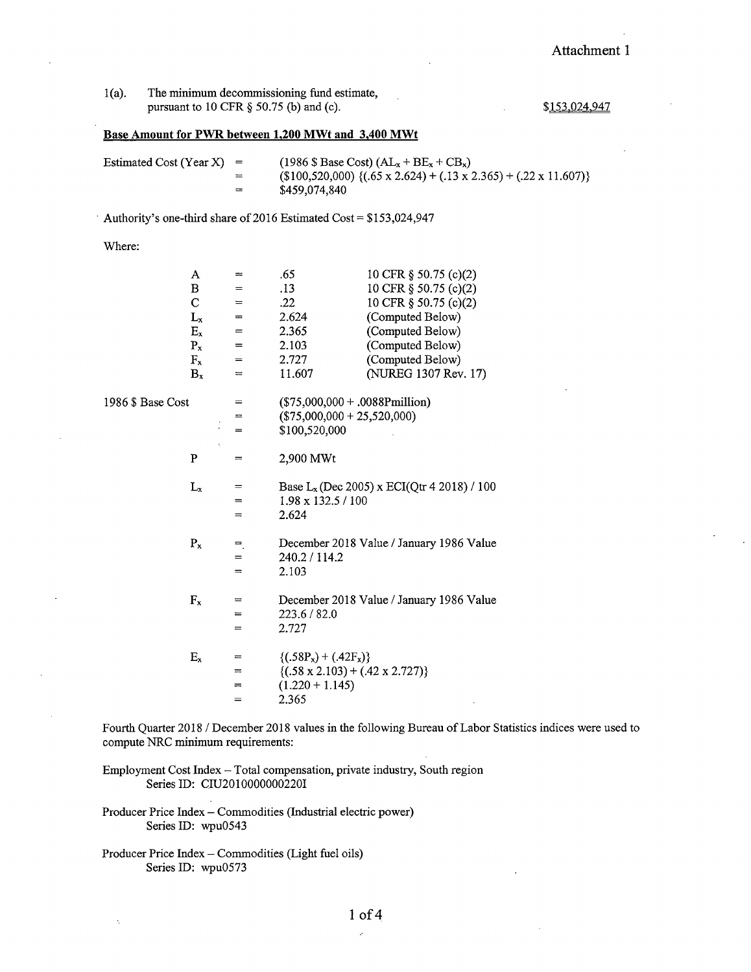## Attachment **1**

| $1(a)$ . | The minimum decommissioning fund estimate, |  |  |
|----------|--------------------------------------------|--|--|
|          | pursuant to 10 CFR $\S$ 50.75 (b) and (c). |  |  |

\$153,024.947

## **Base Amount for PWR between 1,200 MWt and 3,400 MWt**

| Estimated Cost (Year X) $=$ |     | $(1986 \text{ $$\mathcal{S}$}$ Base Cost) $(AL_x + BE_x + CB_x)$                    |
|-----------------------------|-----|-------------------------------------------------------------------------------------|
|                             | $=$ | $(100,520,000)$ { $(.65 \times 2.624) + (.13 \times 2.365) + (.22 \times 11.607)$ } |
|                             | $=$ | \$459,074,840                                                                       |

10 CFB  $\frac{10}{2}$   $\frac{10}{2}$   $\frac{10}{2}$ 

Authority's one-third share of 2016 Estimated Cost =  $$153,024,947$ 

.<br>م

Where:

A

1986

 $\epsilon$ 

|              | A       | ≕   | .63                                           | 10 CFR 9 30.73 (C)(Z)                         |
|--------------|---------|-----|-----------------------------------------------|-----------------------------------------------|
|              | в       | $=$ | .13                                           | 10 CFR § 50.75 (c)(2)                         |
|              | C       | $=$ | .22                                           | 10 CFR § 50.75 (c)(2)                         |
|              | $L_{x}$ | ᆖ   | 2.624                                         | (Computed Below)                              |
|              | $E_x$   | $=$ | 2.365                                         | (Computed Below)                              |
|              | $P_{x}$ | $=$ | 2.103                                         | (Computed Below)                              |
|              | $F_x$   | $=$ | 2.727                                         | (Computed Below)                              |
|              | $B_{x}$ | $=$ | 11.607                                        | (NUREG 1307 Rev. 17)                          |
| \$ Base Cost |         | $=$ | $($75,000,000+.0088\text{Pmillion})$          |                                               |
|              |         | $=$ | $($75,000,000 + 25,520,000)$                  |                                               |
|              |         | $=$ | \$100,520,000                                 |                                               |
|              | ÷<br>P  | $=$ | 2,900 MWt                                     |                                               |
|              | $L_{x}$ | =   |                                               | Base $L_x$ (Dec 2005) x ECI(Qtr 4 2018) / 100 |
|              |         | $=$ | 1.98 x 132.5 / 100                            |                                               |
|              |         | $=$ | 2.624                                         |                                               |
|              | $P_{x}$ | =   |                                               | December 2018 Value / January 1986 Value      |
|              |         | $=$ | 240.2 / 114.2                                 |                                               |
|              |         | $=$ | 2.103                                         |                                               |
|              | $F_x$   | $=$ |                                               | December 2018 Value / January 1986 Value      |
|              |         | $=$ | 223.6 / 82.0                                  |                                               |
|              |         | =   | 2.727                                         |                                               |
|              | $E_x$   | =   | $\{(.58P_x) + (.42F_x)\}$                     |                                               |
|              |         | $=$ | $\{(.58 \times 2.103) + (.42 \times 2.727)\}$ |                                               |
|              |         | $=$ | $(1.220 + 1.145)$                             |                                               |
|              |         | =   | 2.365                                         |                                               |
|              |         |     |                                               |                                               |

Fourth Quarter 2018 / December 2018 values in the following Bureau of Labor Statistics indices were used to compute NRC minimum requirements:

Employment Cost Index -Total compensation, private industry, South region Series ID: CIU2010000000220I

Producer Price Index - Commodities (Industrial electric power) Series ID: wpu0543

Producer Price Index - Commodities (Light fuel oils) Series ID: wpu0573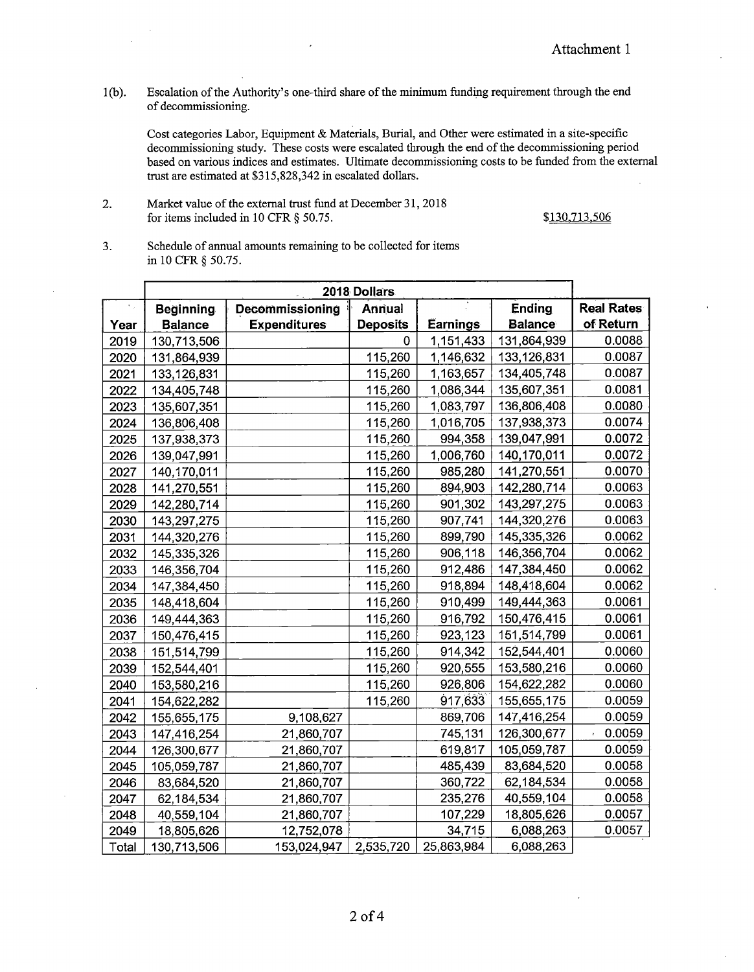l(b). Escalation of the Authority's one-third share of the minimum funding requirement through the end of decommissioning.

Cost categories Labor, Equipment & Materials, Burial, and Other were estimated in a site-specific decommissioning study. These costs were escalated through the end of the decommissioning period based on various indices and estimates. Ultimate decommissioning costs to be funded from the external trust are estimated at \$315,828,342 in escalated dollars.

## 2. Market value of the external trust fund at December 31, 2018 for items included in 10 CFR § 50.75. \$130,713,506

3. Schedule of annual amounts remaining to be collected for items in 10 CFR § 50.75.

| 2018 Dollars |                  |                     |                 |            |                |                   |
|--------------|------------------|---------------------|-----------------|------------|----------------|-------------------|
|              | <b>Beginning</b> | Decommissioning     | Annual          |            | <b>Ending</b>  | <b>Real Rates</b> |
| Year         | <b>Balance</b>   | <b>Expenditures</b> | <b>Deposits</b> | Earnings   | <b>Balance</b> | of Return         |
| 2019         | 130,713,506      |                     | 0               | 1,151,433  | 131,864,939    | 0.0088            |
| 2020         | 131,864,939      |                     | 115,260         | 1,146,632  | 133,126,831    | 0.0087            |
| 2021         | 133,126,831      |                     | 115,260         | 1,163,657  | 134,405,748    | 0.0087            |
| 2022         | 134,405,748      |                     | 115,260         | 1,086,344  | 135,607,351    | 0.0081            |
| 2023         | 135,607,351      |                     | 115,260         | 1,083,797  | 136,806,408    | 0.0080            |
| 2024         | 136,806,408      |                     | 115,260         | 1,016,705  | 137,938,373    | 0.0074            |
| 2025         | 137,938,373      |                     | 115,260         | 994,358    | 139,047,991    | 0.0072            |
| 2026         | 139,047,991      |                     | 115,260         | 1,006,760  | 140,170,011    | 0.0072            |
| 2027         | 140,170,011      |                     | 115,260         | 985,280    | 141,270,551    | 0.0070            |
| 2028         | 141,270,551      |                     | 115,260         | 894,903    | 142,280,714    | 0.0063            |
| 2029         | 142,280,714      |                     | 115,260         | 901,302    | 143,297,275    | 0.0063            |
| 2030         | 143,297,275      |                     | 115,260         | 907,741    | 144,320,276    | 0.0063            |
| 2031         | 144,320,276      |                     | 115,260         | 899,790    | 145,335,326    | 0.0062            |
| 2032         | 145,335,326      |                     | 115,260         | 906,118    | 146,356,704    | 0.0062            |
| 2033         | 146,356,704      |                     | 115,260         | 912,486    | 147,384,450    | 0.0062            |
| 2034         | 147,384,450      |                     | 115,260         | 918,894    | 148,418,604    | 0.0062            |
| 2035         | 148,418,604      |                     | 115,260         | 910,499    | 149,444,363    | 0.0061            |
| 2036         | 149,444,363      |                     | 115,260         | 916,792    | 150,476,415    | 0.0061            |
| 2037         | 150,476,415      |                     | 115,260         | 923,123    | 151,514,799    | 0.0061            |
| 2038         | 151,514,799      |                     | 115,260         | 914,342    | 152,544,401    | 0.0060            |
| 2039         | 152,544,401      |                     | 115,260         | 920,555    | 153,580,216    | 0.0060            |
| 2040         | 153,580,216      |                     | 115,260         | 926,806    | 154,622,282    | 0.0060            |
| 2041         | 154,622,282      |                     | 115,260         | 917,633    | 155,655,175    | 0.0059            |
| 2042         | 155,655,175      | 9,108,627           |                 | 869,706    | 147,416,254    | 0.0059            |
| 2043         | 147,416,254      | 21,860,707          |                 | 745,131    | 126,300,677    | 0.0059            |
| 2044         | 126,300,677      | 21,860,707          |                 | 619,817    | 105,059,787    | 0.0059            |
| 2045         | 105,059,787      | 21,860,707          |                 | 485,439    | 83,684,520     | 0.0058            |
| 2046         | 83,684,520       | 21,860,707          |                 | 360,722    | 62,184,534     | 0.0058            |
| 2047         | 62,184,534       | 21,860,707          |                 | 235,276    | 40,559,104     | 0.0058            |
| 2048         | 40,559,104       | 21,860,707          |                 | 107,229    | 18,805,626     | 0.0057            |
| 2049         | 18,805,626       | 12,752,078          |                 | 34,715     | 6,088,263      | 0.0057            |
| Total        | 130,713,506      | 153,024,947         | 2,535,720       | 25,863,984 | 6,088,263      |                   |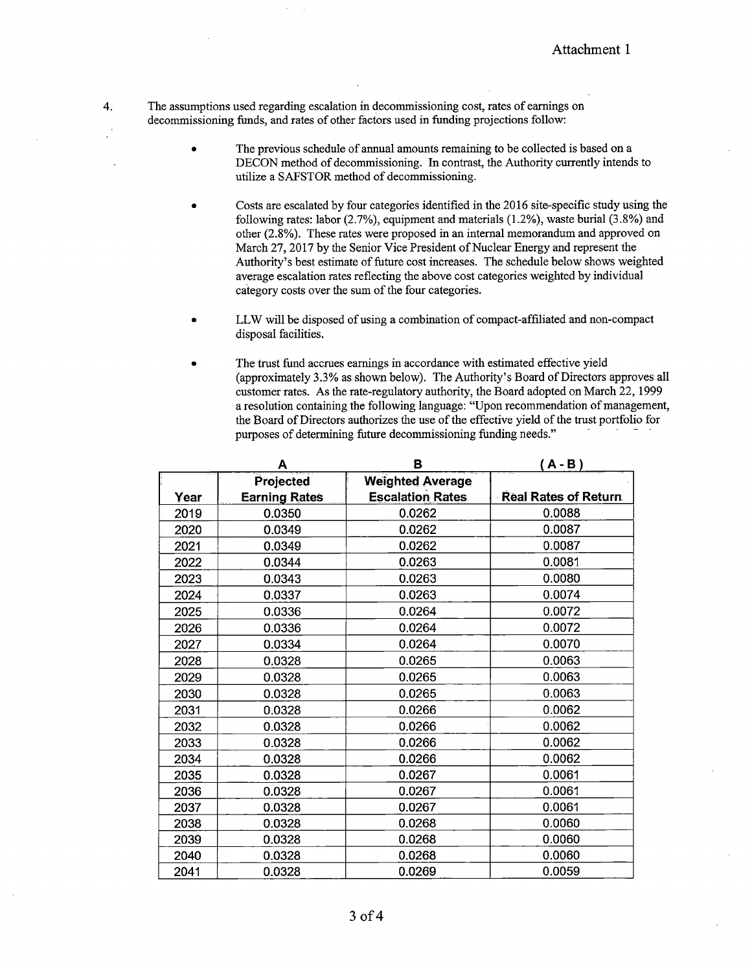4. The assumptions used regarding escalation in decommissioning cost, rates of earnings on decommissioning funds, and rates of other factors used in funding projections follow:

- The previous schedule of annual amounts remaining to be collected is based on a DECON method of decommissioning. In contrast, the Authority currently intends to utilize a SAFSTOR method of decommissioning.
- Costs are escalated by four categories identified in the 2016 site-specific study using the following rates: labor (2.7%), equipment and materials (1.2%), waste burial (3.8%) and other (2.8%). These rates were proposed in an internal memorandum and approved on March 27, 2017 by the Senior Vice President of Nuclear Energy and represent the Authority's best estimate of future cost increases. The schedule below shows weighted average escalation rates reflecting the above cost categories weighted by individual category costs over the sum of the four categories.
- LLW will be disposed of using a combination of compact-affiliated and non-compact disposal facilities.
- The trust fund accrues earnings in accordance with estimated effective yield (approximately 3.3% as shown below). The Authority's Board of Directors approves all customer rates. As the rate-regulatory authority, the Board adopted on March 22, 1999 a resolution containing the following language: "Upon recommendation of management, the Board of Directors authorizes the use of the effective yield of the trust portfolio for purposes of determining future decommissioning funding needs."

|      | Α                    | в                       | $A - B$                     |
|------|----------------------|-------------------------|-----------------------------|
|      | Projected            | <b>Weighted Average</b> |                             |
| Year | <b>Earning Rates</b> | <b>Escalation Rates</b> | <b>Real Rates of Return</b> |
| 2019 | 0.0350               | 0.0262                  | 0.0088                      |
| 2020 | 0.0349               | 0.0262                  | 0.0087                      |
| 2021 | 0.0349               | 0.0262                  | 0.0087                      |
| 2022 | 0.0344               | 0.0263                  | 0.0081                      |
| 2023 | 0.0343               | 0.0263                  | 0.0080                      |
| 2024 | 0.0337               | 0.0263                  | 0.0074                      |
| 2025 | 0.0336               | 0.0264                  | 0.0072                      |
| 2026 | 0.0336               | 0.0264                  | 0.0072                      |
| 2027 | 0.0334               | 0.0264                  | 0.0070                      |
| 2028 | 0.0328               | 0.0265                  | 0.0063                      |
| 2029 | 0.0328               | 0.0265                  | 0.0063                      |
| 2030 | 0.0328               | 0.0265                  | 0.0063                      |
| 2031 | 0.0328               | 0.0266                  | 0.0062                      |
| 2032 | 0.0328               | 0.0266                  | 0.0062                      |
| 2033 | 0.0328               | 0.0266                  | 0.0062                      |
| 2034 | 0.0328               | 0.0266                  | 0.0062                      |
| 2035 | 0.0328               | 0.0267                  | 0.0061                      |
| 2036 | 0.0328               | 0.0267                  | 0.0061                      |
| 2037 | 0.0328               | 0.0267                  | 0.0061                      |
| 2038 | 0.0328               | 0.0268                  | 0.0060                      |
| 2039 | 0.0328               | 0.0268                  | 0.0060                      |
| 2040 | 0.0328               | 0.0268                  | 0.0060                      |
| 2041 | 0.0328               | 0.0269                  | 0.0059                      |